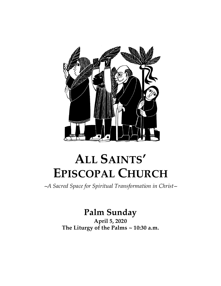

# **ALL SAINTS' EPISCOPAL CHURCH**

<sup>∼</sup>*A Sacred Space for Spiritual Transformation in Christ*<sup>∼</sup>

## **Palm Sunday**

**April 5, 2020 The Liturgy of the Palms ~ 10:30 a.m.**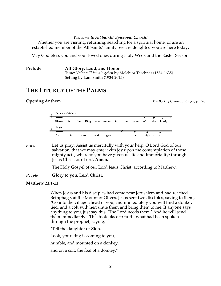#### *Welcome to All Saints' Episcopal Church!*

Whether you are visiting, returning, searching for a spiritual home, or are an established member of the All Saints' family, we are delighted you are here today.

May God bless you and your loved ones during Holy Week and the Easter Season.

#### **Prelude All Glory, Laud, and Honor**

Tune: *Valet will ich dir geben* by Melchior Teschner (1584-1635), Setting by Lani Smith (1934-2015)

### **THE LITURGY OF THE PALMS**

**Opening Anthem** *The Book of Common Prayer,* p. 270



*Priest* Let us pray. Assist us mercifully with your help, O Lord God of our salvation, that we may enter with joy upon the contemplation of those mighty acts, whereby you have given us life and immortality; through Jesus Christ our Lord. **Amen.**

The Holy Gospel of our Lord Jesus Christ, according to Matthew.

### *People* **Glory to you, Lord Christ.**

### **Matthew 21:1-11**

When Jesus and his disciples had come near Jerusalem and had reached Bethphage, at the Mount of Olives, Jesus sent two disciples, saying to them, "Go into the village ahead of you, and immediately you will find a donkey tied, and a colt with her; untie them and bring them to me. If anyone says anything to you, just say this, 'The Lord needs them.' And he will send them immediately." This took place to fulfill what had been spoken through the prophet, saying,

"Tell the daughter of Zion,

Look, your king is coming to you,

humble, and mounted on a donkey,

and on a colt, the foal of a donkey."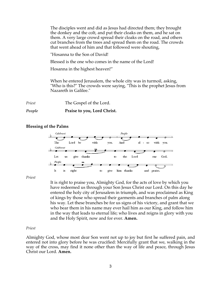The disciples went and did as Jesus had directed them; they brought the donkey and the colt, and put their cloaks on them, and he sat on them. A very large crowd spread their cloaks on the road, and others cut branches from the trees and spread them on the road. The crowds that went ahead of him and that followed were shouting,

"Hosanna to the Son of David!

Blessed is the one who comes in the name of the Lord!

Hosanna in the highest heaven!"

When he entered Jerusalem, the whole city was in turmoil, asking, "Who is this?" The crowds were saying, "This is the prophet Jesus from Nazareth in Galilee."

*Priest* The Gospel of the Lord.

### *People* **Praise to you, Lord Christ.**

### **Blessing of the Palms**



*Priest*

It is right to praise you, Almighty God, for the acts of love by which you have redeemed us through your Son Jesus Christ our Lord. On this day he entered the holy city of Jerusalem in triumph, and was proclaimed as King of kings by those who spread their garments and branches of palm along his way. Let these branches be for us signs of his victory, and grant that we who bear them in his name may ever hail him as our King, and follow him in the way that leads to eternal life; who lives and reigns in glory with you and the Holy Spirit, now and for ever. **Amen.**

### *Priest*

Almighty God, whose most dear Son went not up to joy but first he suffered pain, and entered not into glory before he was crucified: Mercifully grant that we, walking in the way of the cross, may find it none other than the way of life and peace, through Jesus Christ our Lord. **Amen.**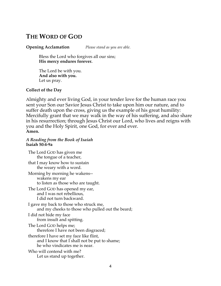### **THE WORD OF GOD**

**Opening Acclamation** *Please stand as you are able.*

Bless the Lord who forgives all our sins; **His mercy endures forever.**

The Lord be with you. **And also with you.** Let us pray.

### **Collect of the Day**

Almighty and ever living God, in your tender love for the human race you sent your Son our Savior Jesus Christ to take upon him our nature, and to suffer death upon the cross, giving us the example of his great humility: Mercifully grant that we may walk in the way of his suffering, and also share in his resurrection; through Jesus Christ our Lord, who lives and reigns with you and the Holy Spirit, one God, for ever and ever. **Amen.**

### *A Reading from the Book of Isaiah* **Isaiah 50:4-9a**

The Lord GOD has given me the tongue of a teacher, that I may know how to sustain the weary with a word. Morning by morning he wakens- wakens my ear to listen as those who are taught. The Lord GOD has opened my ear, and I was not rebellious, I did not turn backward. I gave my back to those who struck me, and my cheeks to those who pulled out the beard; I did not hide my face from insult and spitting. The Lord GOD helps me; therefore I have not been disgraced; therefore I have set my face like flint, and I know that I shall not be put to shame; he who vindicates me is near. Who will contend with me? Let us stand up together.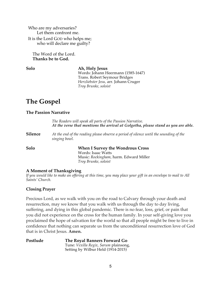Who are my adversaries? Let them confront me. It is the Lord GOD who helps me; who will declare me guilty?

The Word of the Lord. **Thanks be to God.**

### **Solo Ah, Holy Jesus**

Words: Johann Heermann (1585-1647) Trans. Robert Seymour Bridges *Herzliebster Jesu,* arr. Johann Cruger *Troy Brunke, soloist*

## **The Gospel**

### **The Passion Narrative**

|                | The Readers will speak all parts of the Passion Narrative.<br>At the verse that mentions the arrival at Golgotha, please stand as you are able. |  |
|----------------|-------------------------------------------------------------------------------------------------------------------------------------------------|--|
| <b>Silence</b> | At the end of the reading please observe a period of silence until the sounding of the<br>singing bowl.                                         |  |
| Solo           | <b>When I Survey the Wondrous Cross</b><br>Words: Isaac Watts<br>Music: Rockingham, harm. Edward Miller<br>Troy Brunke, soloist                 |  |

### **A Moment of Thanksgiving**

*If you would like to make an offering at this time, you may place your gift in an envelope to mail to All Saints' Church.*

### **Closing Prayer**

Precious Lord, as we walk with you on the road to Calvary through your death and resurrection, may we know that you walk with us through the day to day living, suffering, and dying in this global pandemic. There is no fear, loss, grief, or pain that you did not experience on the cross for the human family. In your self-giving love you proclaimed the hope of salvation for the world so that all people might be free to live in confidence that nothing can separate us from the unconditional resurrection love of God that is in Christ Jesus. **Amen.**

| Postlude | The Royal Banners Forward Go          |
|----------|---------------------------------------|
|          | Tune: Vexilla Regix, Sarum plainsong, |
|          | Setting by Wilbur Held (1914-2015)    |